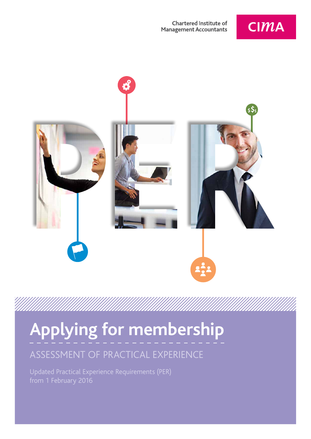#### **Chartered Institute of Management Accountants**





# **Applying for membership**

### ASSESSMENT OF PRACTICAL EXPERIENCE

Updated Practical Experience Requirements (PER) from 1 February 2016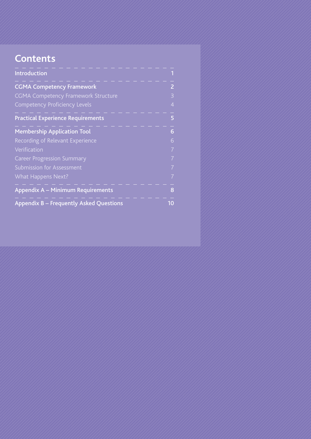### **Contents**

| <b>Introduction</b>                        |                |
|--------------------------------------------|----------------|
| <b>CGMA Competency Framework</b>           | $\overline{2}$ |
| <b>CGMA Competency Framework Structure</b> | 3              |
| <b>Competency Proficiency Levels</b>       | $\overline{4}$ |
| <b>Practical Experience Requirements</b>   | 5              |
| <b>Membership Application Tool</b>         | 6              |
| Recording of Relevant Experience           | 6              |
| Verification                               | $\overline{7}$ |
| <b>Career Progression Summary</b>          | $\overline{7}$ |
| Submission for Assessment                  | $\overline{7}$ |
| What Happens Next?                         | $\overline{7}$ |
| Appendix A - Minimum Requirements          | 8              |
| Appendix B - Frequently Asked Questions    | 10             |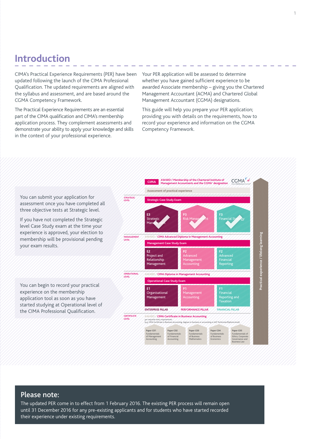### **Introduction**

CIMA's Practical Experience Requirements (PER) have been updated following the launch of the CIMA Professional Qualification. The updated requirements are aligned with the syllabus and assessment, and are based around the CGMA Competency Framework.

The Practical Experience Requirements are an essential part of the CIMA qualification and CIMA's membership application process. They complement assessments and demonstrate your ability to apply your knowledge and skills in the context of your professional experience.

Your PER application will be assessed to determine whether you have gained sufficient experience to be awarded Associate membership – giving you the Chartered Management Accountant (ACMA) and Chartered Global Management Accountant (CGMA) designations.

This guide will help you prepare your PER application; providing you with details on the requirements, how to record your experience and information on the CGMA Competency Framework.



#### Please note:

The updated PER come in to effect from 1 February 2016. The existing PER process will remain open until 31 December 2016 for any pre-existing applicants and for students who have started recorded their experience under existing requirements.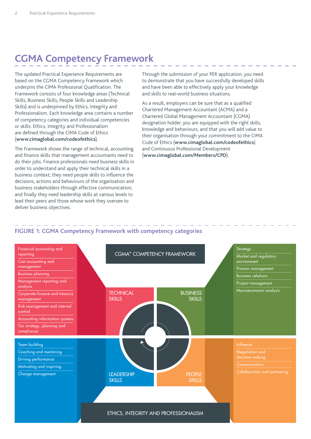### **CGMA Competency Framework**

The updated Practical Experience Requirements are based on the CGMA Competency Framework which underpins the CIMA Professional Qualification. The Framework consists of four knowledge areas (Technical Skills, Business Skills, People Skills and Leadership Skills) and is underpinned by Ethics, Integrity and Professionalism. Each knowledge area contains a number of competency categories and individual competencies or skills. Ethics, Integrity and Professionalism are defined through the CIMA Code of Ethics (**[www.cimaglobal.com/codeofethics](http://www.cimaglobal.com/codeofethics)**).

The Framework shows the range of technical, accounting and finance skills that management accountants need to do their jobs. Finance professionals need business skills in order to understand and apply their technical skills in a business context; they need people skills to influence the decisions, actions and behaviours of the organisation and business stakeholders through effective communication; and finally they need leadership skills at various levels to lead their peers and those whose work they oversee to deliver business objectives.

Through the submission of your PER application, you need to demonstrate that you have successfully developed skills and have been able to effectively apply your knowledge and skills to real-world business situations.

As a result, employers can be sure that as a qualified Chartered Management Accountant (ACMA) and a Chartered Global Management Accountant (CGMA) designation holder, you are equipped with the right skills, knowledge and behaviours, and that you will add value to their organisation through your commitment to the CIMA Code of Ethics (**[www.cimaglobal.com/codeofethics](http://www.cimaglobal.com/codeofethics)**) and Continuous Professional Development (**[www.cimaglobal.com/Members/CPD](http://www.cimaglobal.com/Members/CPD/)**).

#### **FIGURE 1: CGMA Competency Framework with competency categories**

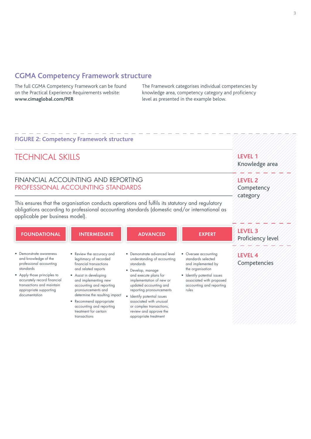#### **CGMA Competency Framework structure**

The full CGMA Competency Framework can be found on the Practical Experience Requirements website: **[www.cimaglobal.com/PER](http://www.cimaglobal.com/PER)**

The Framework categorises individual competencies by knowledge area, competency category and proficiency level as presented in the example below.

**LEVEL 1** 

**LEVEL 2 Competency** category

/////////

Knowledge area

#### **FIGURE 2: Competency Framework structure**

### TECHNICAL SKILLS

#### FINANCIAL ACCOUNTING AND REPORTING PROFESSIONAL ACCOUNTING STANDARDS

This ensures that the organisation conducts operations and fulfils its statutory and regulatory obligations according to professional accounting standards (domestic and/or international as applicable per business model).

| <b>FOUNDATIONAL</b>                                                                                               | <b>INTERMEDIATE</b>                                                                                                            | <b>ADVANCED</b>                                                                                                                       | <b>EXPERT</b>                                                                                | LEVEL <sub>3</sub><br>Proficiency level |
|-------------------------------------------------------------------------------------------------------------------|--------------------------------------------------------------------------------------------------------------------------------|---------------------------------------------------------------------------------------------------------------------------------------|----------------------------------------------------------------------------------------------|-----------------------------------------|
| • Demonstrate awareness<br>and knowledge of the<br>professional accounting<br>standards                           | • Review the accuracy and<br>legitimacy of recorded<br>financial transactions<br>and related reports                           | • Demonstrate advanced level<br>understanding of accounting<br>standards<br>• Develop, manage                                         | • Oversee accounting<br>standards selected<br>and implemented by<br>the organisation         | LEVEL 4<br>Competencies                 |
| • Apply those principles to<br>accurately record financial<br>transactions and maintain<br>appropriate supporting | • Assist in developing<br>and implementing new<br>accounting and reporting<br>pronouncements and                               | and execute plans for<br>implementation of new or<br>updated accounting and<br>reporting pronouncements                               | • Identify potential issues<br>associated with proposed<br>accounting and reporting<br>rules |                                         |
| documentation                                                                                                     | determine the resulting impact<br>• Recommend appropriate<br>accounting and reporting<br>treatment for certain<br>transactions | • Identify potential issues<br>associated with unusual<br>or complex transactions,<br>review and approve the<br>appropriate treatment |                                                                                              |                                         |

appropriate treatment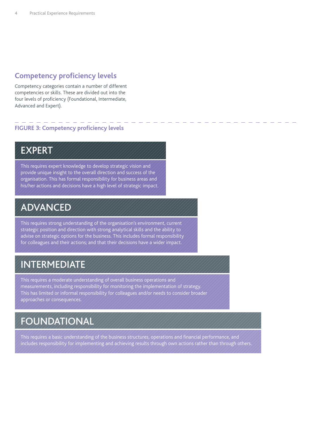### **Competency proficiency levels**

Competency categories contain a number of different competencies or skills. These are divided out into the four levels of proficiency (Foundational, Intermediate, Advanced and Expert).

#### **FIGURE 3: Competency proficiency levels**

### EXPERT

This requires expert knowledge to develop strategic vision and provide unique insight to the overall direction and success of the organisation. This has formal responsibility for business areas and his/her actions and decisions have a high level of strategic impact.

### ADVANCED

This requires strong understanding of the organisation's environment, current strategic position and direction with strong analytical skills and the ability to advise on strategic options for the business. This includes formal responsibility for colleagues and their actions; and that their decisions have a wider impact.

### INTERMEDIATE

This requires a moderate understanding of overall business operations and measurements, including responsibility for monitoring the implementation of strategy. This has limited or informal responsibility for colleagues and/or needs to consider broader approaches or consequences.

### FOUNDATIONAL

This requires a basic understanding of the business structures, operations and financial performance, and includes responsibility for implementing and achieving results through own actions rather than through others.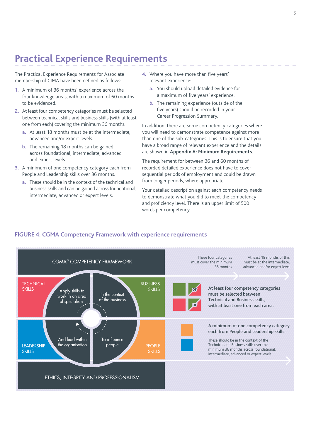### **Practical Experience Requirements**

The Practical Experience Requirements for Associate membership of CIMA have been defined as follows:

- **1.** A minimum of 36 months' experience across the four knowledge areas, with a maximum of 60 months to be evidenced.
- **2.** At least four competency categories must be selected between technical skills and business skills (with at least one from each) covering the minimum 36 months.
	- **a.** At least 18 months must be at the intermediate, advanced and/or expert levels.
	- **b.** The remaining 18 months can be gained across foundational, intermediate, advanced and expert levels.
- **3.** A minimum of one competency category each from People and Leadership skills over 36 months.
	- **a.** These should be in the context of the technical and business skills and can be gained across foundational, intermediate, advanced or expert levels.
- **4.** Where you have more than five years' relevant experience:
	- **a.** You should upload detailed evidence for a maximum of five years' experience.
	- **b.** The remaining experience (outside of the five years) should be recorded in your Career Progression Summary.

In addition, there are some competency categories where you will need to demonstrate competence against more than one of the sub-categories. This is to ensure that you have a broad range of relevant experience and the details are shown in **Appendix A: Minimum Requirements**.

The requirement for between 36 and 60 months of recorded detailed experience does not have to cover sequential periods of employment and could be drawn from longer periods, where appropriate.

Your detailed description against each competency needs to demonstrate what you did to meet the competency and proficiency level. There is an upper limit of 500 words per competency.

#### At least 18 months of this These four categories CGMA® COMPETENCY FRAMEWORK must cover the minimum must be at the intermediate, 36 months advanced and/or expert level **TECHNICAL** BUSINESS **SKILLS** At least four competency categories **SKILLS** or Apply skills to In the context must be selected between work in an area of the business Technical and Business skills, of specialism or with at least one from each area. Þ A minimum of one competency category each from People and Leadership skills. And lead within To influence These should be in the context of the LEADERSHIP the organisation people **PEOPLE** Technical and Business skills over the minimum 36 months across foundational, **SKILLS SKILLS** intermediate, advanced or expert levels. ETHICS, INTEGRITY AND PROFESSIONALISM

#### **FIGURE 4: CGMA Competency Framework with experience requirements**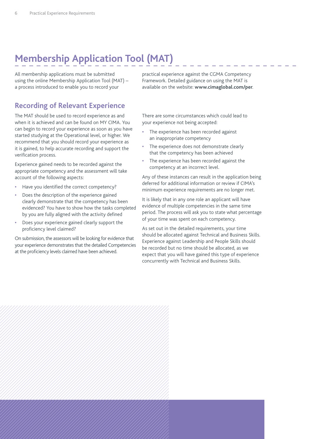# **Membership Application Tool (MAT)**

All membership applications must be submitted using the online Membership Application Tool (MAT) – a process introduced to enable you to record your

### **Recording of Relevant Experience**

The MAT should be used to record experience as and when it is achieved and can be found on MY CIMA. You can begin to record your experience as soon as you have started studying at the Operational level, or higher. We recommend that you should record your experience as it is gained, to help accurate recording and support the verification process.

Experience gained needs to be recorded against the appropriate competency and the assessment will take account of the following aspects:

- **•** Have you identified the correct competency?
- **•** Does the description of the experience gained clearly demonstrate that the competency has been evidenced? You have to show how the tasks completed by you are fully aligned with the activity defined
- **•** Does your experience gained clearly support the proficiency level claimed?

On submission, the assessors will be looking for evidence that your experience demonstrates that the detailed Competencies at the proficiency levels claimed have been achieved.

practical experience against the CGMA Competency Framework. Detailed guidance on using the MAT is available on the website: **[www.cimaglobal.com/per](http://www.cimaglobal.com/per)**.

There are some circumstances which could lead to your experience not being accepted:

- **•** The experience has been recorded against an inappropriate competency
- **•** The experience does not demonstrate clearly that the competency has been achieved
- **•** The experience has been recorded against the competency at an incorrect level.

Any of these instances can result in the application being deferred for additional information or review if CIMA's minimum experience requirements are no longer met.

It is likely that in any one role an applicant will have evidence of multiple competencies in the same time period. The process will ask you to state what percentage of your time was spent on each competency.

As set out in the detailed requirements, your time should be allocated against Technical and Business Skills. Experience against Leadership and People Skills should be recorded but no time should be allocated, as we expect that you will have gained this type of experience concurrently with Technical and Business Skills.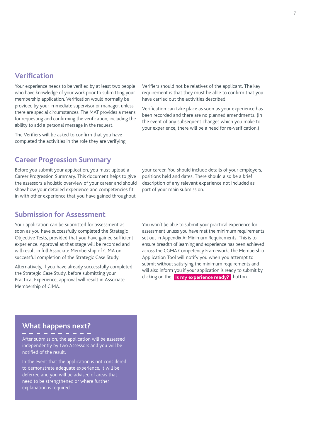#### **Verification**

Your experience needs to be verified by at least two people who have knowledge of your work prior to submitting your membership application. Verification would normally be provided by your immediate supervisor or manager, unless there are special circumstances. The MAT provides a means for requesting and confirming the verification, including the ability to add a personal message in the request.

The Verifiers will be asked to confirm that you have completed the activities in the role they are verifying. Verifiers should not be relatives of the applicant. The key requirement is that they must be able to confirm that you have carried out the activities described.

Verification can take place as soon as your experience has been recorded and there are no planned amendments. (In the event of any subsequent changes which you make to your experience, there will be a need for re-verification.)

#### **Career Progression Summary**

Before you submit your application, you must upload a Career Progression Summary. This document helps to give the assessors a holistic overview of your career and should show how your detailed experience and competencies fit in with other experience that you have gained throughout

your career. You should include details of your employers, positions held and dates. There should also be a brief description of any relevant experience not included as part of your main submission.

#### **Submission for Assessment**

Your application can be submitted for assessment as soon as you have successfully completed the Strategic Objective Tests, provided that you have gained sufficient experience. Approval at that stage will be recorded and will result in full Associate Membership of CIMA on successful completion of the Strategic Case Study.

Alternatively, if you have already successfully completed the Strategic Case Study, before submitting your Practical Experience, approval will result in Associate Membership of CIMA.

You won't be able to submit your practical experience for assessment unless you have met the minimum requirements set out in Appendix A: Minimum Requirements. This is to ensure breadth of learning and experience has been achieved across the CGMA Competency Framework. The Membership Application Tool will notify you when you attempt to submit without satisfying the minimum requirements and will also inform you if your application is ready to submit by clicking on the **Is my experience ready?** button.

### **What happens next?**

After submission, the application will be assessed independently by two Assessors and you will be notified of the result.

In the event that the application is not considered to demonstrate adequate experience, it will be deferred and you will be advised of areas that need to be strengthened or where further explanation is required.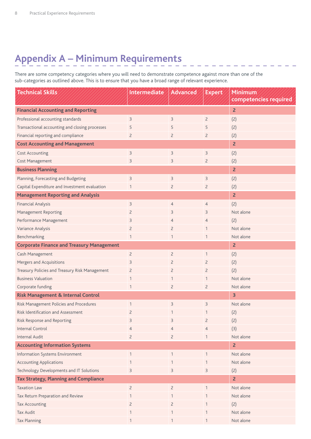# **Appendix A – Minimum Requirements**

There are some competency categories where you will need to demonstrate competence against more than one of the sub-categories as outlined above. This is to ensure that you have a broad range of relevant experience.

| <b>Technical Skills</b>                          | Intermediate   | <b>Advanced</b> | <b>Expert</b>  | <b>Minimum</b><br>competencies required |
|--------------------------------------------------|----------------|-----------------|----------------|-----------------------------------------|
|                                                  |                |                 |                |                                         |
| <b>Financial Accounting and Reporting</b>        |                |                 |                | $\overline{2}$                          |
| Professional accounting standards                | $\overline{3}$ | 3               | $\overline{2}$ | (2)                                     |
| Transactional accounting and closing processes   | 5              | 5               | 5              | (2)                                     |
| Financial reporting and compliance               | $\overline{2}$ | $\overline{2}$  | $\overline{c}$ | (2)                                     |
| <b>Cost Accounting and Management</b>            |                |                 |                | $\overline{2}$                          |
| <b>Cost Accounting</b>                           | 3              | 3               | 3              | (2)                                     |
| Cost Management                                  | 3              | 3               | $\overline{c}$ | (2)                                     |
| <b>Business Planning</b>                         |                |                 |                | $\overline{2}$                          |
| Planning, Forecasting and Budgeting              | $\overline{3}$ | 3               | 3              | (2)                                     |
| Capital Expenditure and Investment evaluation    | 1              | $\overline{2}$  | $\overline{c}$ | (2)                                     |
| <b>Management Reporting and Analysis</b>         |                |                 |                | $\overline{2}$                          |
| <b>Financial Analysis</b>                        | $\mathsf{B}$   | $\overline{4}$  | $\overline{4}$ | (2)                                     |
| <b>Management Reporting</b>                      | $\overline{c}$ | 3               | 3              | Not alone                               |
| Performance Management                           | $\mathsf 3$    | 4               | 4              | (2)                                     |
| Variance Analysis                                | $\overline{2}$ | $\overline{2}$  | 1              | Not alone                               |
| Benchmarking                                     | $\mathbf{1}$   | 1               | $\mathbf{1}$   | Not alone                               |
| <b>Corporate Finance and Treasury Management</b> |                |                 |                | $\overline{2}$                          |
| Cash Management                                  | $\overline{c}$ | $\overline{c}$  | $\mathbf{1}$   | (2)                                     |
| Mergers and Acquisitions                         | 3              | $\overline{2}$  | $\overline{c}$ | (2)                                     |
| Treasury Policies and Treasury Risk Management   | $\overline{2}$ | $\overline{2}$  | $\overline{c}$ | (2)                                     |
| <b>Business Valuation</b>                        | $\mathbf{1}$   |                 | 1              | Not alone                               |
| Corporate funding                                | $\mathbf{1}$   | $\overline{2}$  | $\overline{c}$ | Not alone                               |
| <b>Risk Management &amp; Internal Control</b>    |                |                 |                | 3                                       |
| Risk Management Policies and Procedures          | $\mathbf{1}$   | 3               | 3              | Not alone                               |
| Risk Identification and Assessment               | $\overline{c}$ |                 | 1              | (2)                                     |
| Risk Response and Reporting                      | 3              | 3               | $\overline{c}$ | (2)                                     |
| Internal Control                                 | $\overline{4}$ | $\overline{4}$  | $\overline{4}$ | (3)                                     |
| <b>Internal Audit</b>                            | $\overline{c}$ | $\overline{2}$  | 1              | Not alone                               |
| <b>Accounting Information Systems</b>            |                |                 |                | $\overline{2}$                          |
| Information Systems Environment                  | $\mathbf{1}$   | $\mathbf{1}$    | $\mathbf{1}$   | Not alone                               |
| <b>Accounting Applications</b>                   | $\mathbf{1}$   |                 | 1              | Not alone                               |
| Technology Developments and IT Solutions         | 3              | 3               | 3              | (2)                                     |
| <b>Tax Strategy, Planning and Compliance</b>     |                |                 |                | $\overline{2}$                          |
| <b>Taxation Law</b>                              | $\overline{c}$ | $\overline{c}$  | 1              | Not alone                               |
| Tax Return Preparation and Review                | 1              | 1               | $\mathbf{1}$   | Not alone                               |
| <b>Tax Accounting</b>                            | $\overline{c}$ | $\overline{c}$  | 1              | (2)                                     |
| Tax Audit                                        | $\mathbf{1}$   |                 | $\mathbf{1}$   | Not alone                               |
| <b>Tax Planning</b>                              | $\mathbf{1}$   |                 | 1              | Not alone                               |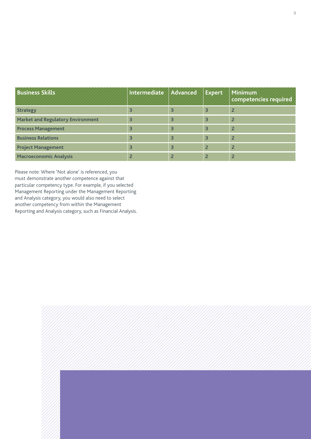| <b>Business Skills</b>                   | Intermediate Advanced |   | Expert | Minimum<br>competencies required |
|------------------------------------------|-----------------------|---|--------|----------------------------------|
| <b>Strategy</b>                          |                       |   |        |                                  |
| <b>Market and Regulatory Environment</b> |                       | 3 |        |                                  |
| <b>Process Management</b>                |                       | 3 | 3      | $\overline{2}$                   |
| <b>Business Relations</b>                |                       | 3 | 3      | $\overline{2}$                   |
| <b>Project Management</b>                |                       | 3 |        | $\overline{2}$                   |
| <b>Macroeconomic Analysis</b>            |                       |   |        |                                  |

Please note: Where 'Not alone' is referenced, you must demonstrate another competence against that particular competency type. For example, if you selected Management Reporting under the Management Reporting and Analysis category, you would also need to select another competency from within the Management Reporting and Analysis category, such as Financial Analysis.

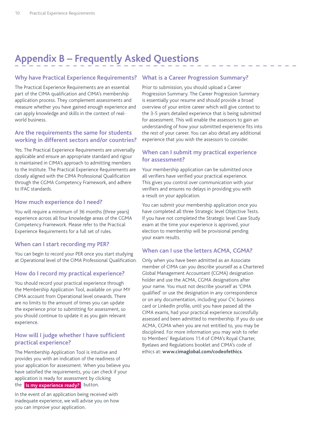## **Appendix B – Frequently Asked Questions**

#### Why have Practical Experience Requirements? What is a Career Progression Summary?

The Practical Experience Requirements are an essential part of the CIMA qualification and CIMA's membership application process. They complement assessments and measure whether you have gained enough experience and can apply knowledge and skills in the context of realworld business.

#### **Are the requirements the same for students working in different sectors and/or countries?**

Yes. The Practical Experience Requirements are universally applicable and ensure an appropriate standard and rigour is maintained in CIMA's approach to admitting members to the Institute. The Practical Experience Requirements are closely aligned with the CIMA Professional Qualification through the CGMA Competency Framework, and adhere to IFAC standards.

#### **How much experience do I need?**

You will require a minimum of 36 months (three years) experience across all four knowledge areas of the CGMA Competency Framework. Please refer to the Practical Experience Requirements for a full set of rules.

#### **When can I start recording my PER?**

You can begin to record your PER once you start studying at Operational level of the CIMA Professional Qualification.

#### **How do I record my practical experience?**

You should record your practical experience through the Membership Application Tool, available on your MY CIMA account from Operational level onwards. There are no limits to the amount of times you can update the experience prior to submitting for assessment, so you should continue to update it as you gain relevant experience.

#### **How will I judge whether I have sufficient practical experience?**

The Membership Application Tool is intuitive and provides you with an indication of the readiness of your application for assessment. When you believe you have satisfied the requirements, you can check if your application is ready for assessment by clicking the **Is my experience ready?** button.

In the event of an application being received with inadequate experience, we will advise you on how you can improve your application.

Prior to submission, you should upload a Career Progression Summary. The Career Progression Summary is essentially your resume and should provide a broad overview of your entire career which will give context to the 3-5 years detailed experience that is being submitted for assessment. This will enable the assessors to gain an understanding of how your submitted experience fits into the rest of your career. You can also detail any additional experience that you wish the assessors to consider.

#### **When can I submit my practical experience for assessment?**

Your membership application can be submitted once all verifiers have verified your practical experience. This gives you control over communication with your verifiers and ensures no delays in providing you with a result on your application.

You can submit your membership application once you have completed all three Strategic level Objective Tests. If you have not completed the Strategic level Case Study exam at the time your experience is approved, your election to membership will be provisional pending your exam results.

#### **When can I use the letters ACMA, CGMA?**

Only when you have been admitted as an Associate member of CIMA can you describe yourself as a Chartered Global Management Accountant (CGMA) designation holder and use the ACMA, CGMA designations after your name. You must not describe yourself as 'CIMA qualified' or use the designation in any correspondence or on any documentation, including your CV, business card or LinkedIn profile, until you have passed all the CIMA exams, had your practical experience successfully assessed and been admitted to membership. If you do use ACMA, CGMA when you are not entitled to, you may be disciplined. For more information you may wish to refer to Members' Regulations 11.4 of CIMA's Royal Charter, Byelaws and Regulations booklet and CIMA's code of ethics at: **[www.cimaglobal.com/codeofethics](http://www.cimaglobal.com/codeofethics)**.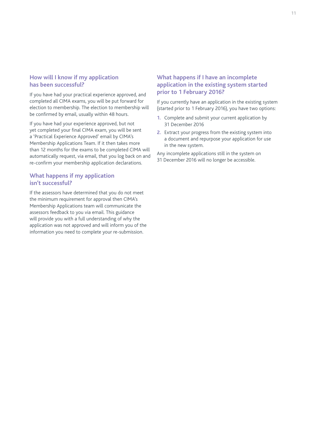#### **How will I know if my application has been successful?**

If you have had your practical experience approved, and completed all CIMA exams, you will be put forward for election to membership. The election to membership will be confirmed by email, usually within 48 hours.

If you have had your experience approved, but not yet completed your final CIMA exam, you will be sent a 'Practical Experience Approved' email by CIMA's Membership Applications Team. If it then takes more than 12 months for the exams to be completed CIMA will automatically request, via email, that you log back on and re-confirm your membership application declarations.

#### **What happens if my application isn't successful?**

If the assessors have determined that you do not meet the minimum requirement for approval then CIMA's Membership Applications team will communicate the assessors feedback to you via email. This guidance will provide you with a full understanding of why the application was not approved and will inform you of the information you need to complete your re-submission.

#### **What happens if I have an incomplete application in the existing system started prior to 1 February 2016?**

If you currently have an application in the existing system (started prior to 1 February 2016), you have two options:

- **1.** Complete and submit your current application by 31 December 2016
- **2.** Extract your progress from the existing system into a document and repurpose your application for use in the new system.

Any incomplete applications still in the system on 31 December 2016 will no longer be accessible.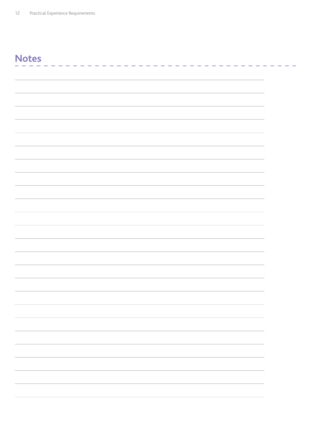#### **Notes**----------- $\sim$  $\equiv$  $\sim$   $\sim$  $\overline{\phantom{a}}$

 $\sim$   $\sim$ 

 $\sim$   $-$ 

 $\sim$ L.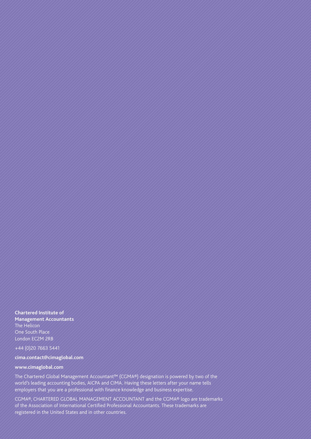**Chartered Institute of Management Accountants** The Helicon One South Place London EC2M 2RB

+44 (0)20 7663 5441

#### **cima.contact@cimaglobal.com**

#### **www.cimaglobal.com**

The Chartered Global Management Accountant™ (CGMA®) designation is powered by two of the world's leading accounting bodies, AICPA and CIMA. Having these letters after your name tells employers that you are a professional with finance knowledge and business expertise.

CGMA®, CHARTERED GLOBAL MANAGEMENT ACCOUNTANT and the CGMA® logo are trademarks of the Association of International Certified Professional Accountants. These trademarks are registered in the United States and in other countries.